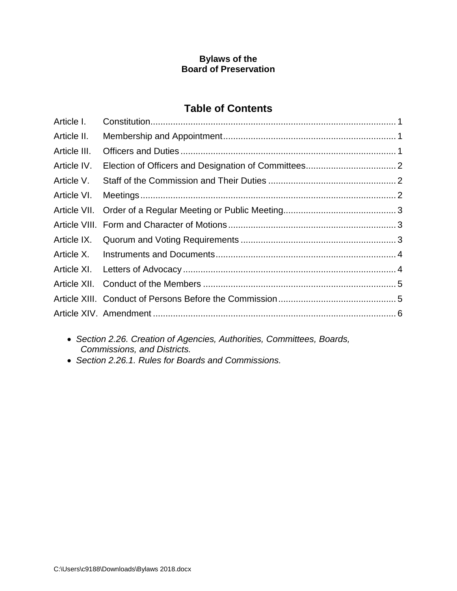#### **Bylaws of the Board of Preservation**

# **Table of Contents**

| Article I.   |  |
|--------------|--|
| Article II.  |  |
| Article III. |  |
| Article IV.  |  |
| Article V.   |  |
| Article VI.  |  |
|              |  |
|              |  |
| Article IX.  |  |
|              |  |
|              |  |
| Article XII. |  |
|              |  |
|              |  |

- *Section 2.26. Creation of Agencies, Authorities, Committees, Boards, Commissions, and Districts.*
- *Section 2.26.1. Rules for Boards and Commissions.*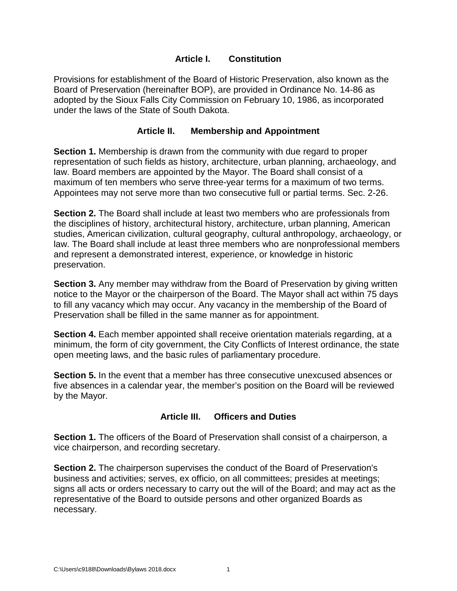#### **Article I. Constitution**

<span id="page-1-0"></span>Provisions for establishment of the Board of Historic Preservation, also known as the Board of Preservation (hereinafter BOP), are provided in Ordinance No. 14-86 as adopted by the Sioux Falls City Commission on February 10, 1986, as incorporated under the laws of the State of South Dakota.

#### **Article II. Membership and Appointment**

<span id="page-1-1"></span>**Section 1.** Membership is drawn from the community with due regard to proper representation of such fields as history, architecture, urban planning, archaeology, and law. Board members are appointed by the Mayor. The Board shall consist of a maximum of ten members who serve three-year terms for a maximum of two terms. Appointees may not serve more than two consecutive full or partial terms. Sec. 2-26.

**Section 2.** The Board shall include at least two members who are professionals from the disciplines of history, architectural history, architecture, urban planning, American studies, American civilization, cultural geography, cultural anthropology, archaeology, or law. The Board shall include at least three members who are nonprofessional members and represent a demonstrated interest, experience, or knowledge in historic preservation.

**Section 3.** Any member may withdraw from the Board of Preservation by giving written notice to the Mayor or the chairperson of the Board. The Mayor shall act within 75 days to fill any vacancy which may occur. Any vacancy in the membership of the Board of Preservation shall be filled in the same manner as for appointment.

**Section 4.** Each member appointed shall receive orientation materials regarding, at a minimum, the form of city government, the City Conflicts of Interest ordinance, the state open meeting laws, and the basic rules of parliamentary procedure.

**Section 5.** In the event that a member has three consecutive unexcused absences or five absences in a calendar year, the member's position on the Board will be reviewed by the Mayor.

## **Article III. Officers and Duties**

<span id="page-1-2"></span>**Section 1.** The officers of the Board of Preservation shall consist of a chairperson, a vice chairperson, and recording secretary.

**Section 2.** The chairperson supervises the conduct of the Board of Preservation's business and activities; serves, ex officio, on all committees; presides at meetings; signs all acts or orders necessary to carry out the will of the Board; and may act as the representative of the Board to outside persons and other organized Boards as necessary.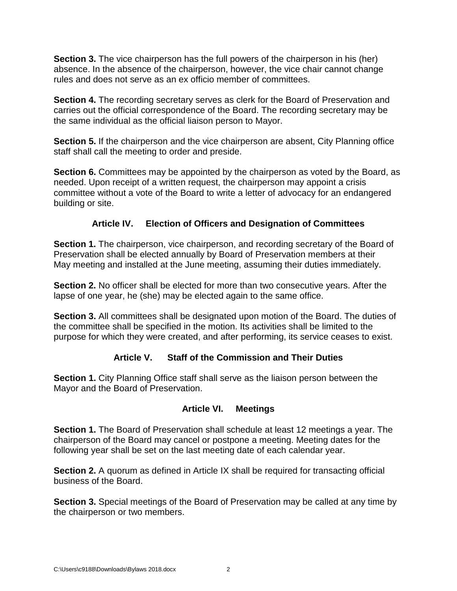**Section 3.** The vice chairperson has the full powers of the chairperson in his (her) absence. In the absence of the chairperson, however, the vice chair cannot change rules and does not serve as an ex officio member of committees.

**Section 4.** The recording secretary serves as clerk for the Board of Preservation and carries out the official correspondence of the Board. The recording secretary may be the same individual as the official liaison person to Mayor.

**Section 5.** If the chairperson and the vice chairperson are absent, City Planning office staff shall call the meeting to order and preside.

**Section 6.** Committees may be appointed by the chairperson as voted by the Board, as needed. Upon receipt of a written request, the chairperson may appoint a crisis committee without a vote of the Board to write a letter of advocacy for an endangered building or site.

# **Article IV. Election of Officers and Designation of Committees**

<span id="page-2-0"></span>**Section 1.** The chairperson, vice chairperson, and recording secretary of the Board of Preservation shall be elected annually by Board of Preservation members at their May meeting and installed at the June meeting, assuming their duties immediately.

**Section 2.** No officer shall be elected for more than two consecutive years. After the lapse of one year, he (she) may be elected again to the same office.

**Section 3.** All committees shall be designated upon motion of the Board. The duties of the committee shall be specified in the motion. Its activities shall be limited to the purpose for which they were created, and after performing, its service ceases to exist.

## **Article V. Staff of the Commission and Their Duties**

<span id="page-2-1"></span>**Section 1.** City Planning Office staff shall serve as the liaison person between the Mayor and the Board of Preservation.

## **Article VI. Meetings**

<span id="page-2-2"></span>**Section 1.** The Board of Preservation shall schedule at least 12 meetings a year. The chairperson of the Board may cancel or postpone a meeting. Meeting dates for the following year shall be set on the last meeting date of each calendar year.

**Section 2.** A quorum as defined in Article IX shall be required for transacting official business of the Board.

**Section 3.** Special meetings of the Board of Preservation may be called at any time by the chairperson or two members.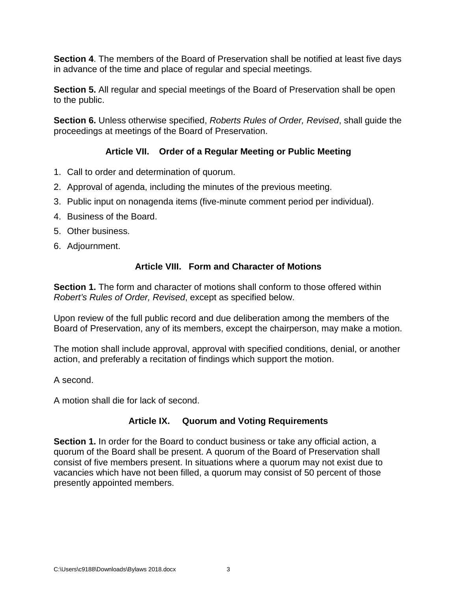**Section 4**. The members of the Board of Preservation shall be notified at least five days in advance of the time and place of regular and special meetings.

**Section 5.** All regular and special meetings of the Board of Preservation shall be open to the public.

**Section 6.** Unless otherwise specified, *Roberts Rules of Order, Revised*, shall guide the proceedings at meetings of the Board of Preservation.

## **Article VII. Order of a Regular Meeting or Public Meeting**

- <span id="page-3-0"></span>1. Call to order and determination of quorum.
- 2. Approval of agenda, including the minutes of the previous meeting.
- 3. Public input on nonagenda items (five-minute comment period per individual).
- 4. Business of the Board.
- 5. Other business.
- <span id="page-3-1"></span>6. Adjournment.

## **Article VIII. Form and Character of Motions**

**Section 1.** The form and character of motions shall conform to those offered within *Robert's Rules of Order, Revised*, except as specified below.

Upon review of the full public record and due deliberation among the members of the Board of Preservation, any of its members, except the chairperson, may make a motion.

The motion shall include approval, approval with specified conditions, denial, or another action, and preferably a recitation of findings which support the motion.

A second.

<span id="page-3-2"></span>A motion shall die for lack of second.

## **Article IX. Quorum and Voting Requirements**

**Section 1.** In order for the Board to conduct business or take any official action, a quorum of the Board shall be present. A quorum of the Board of Preservation shall consist of five members present. In situations where a quorum may not exist due to vacancies which have not been filled, a quorum may consist of 50 percent of those presently appointed members.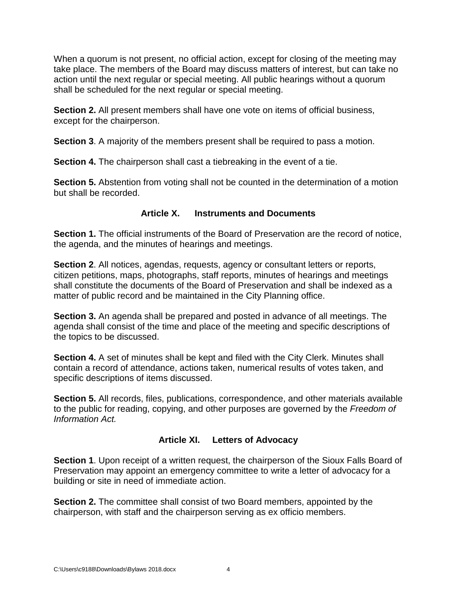When a quorum is not present, no official action, except for closing of the meeting may take place. The members of the Board may discuss matters of interest, but can take no action until the next regular or special meeting. All public hearings without a quorum shall be scheduled for the next regular or special meeting.

**Section 2.** All present members shall have one vote on items of official business, except for the chairperson.

**Section 3**. A majority of the members present shall be required to pass a motion.

**Section 4.** The chairperson shall cast a tiebreaking in the event of a tie.

**Section 5.** Abstention from voting shall not be counted in the determination of a motion but shall be recorded.

#### **Article X. Instruments and Documents**

<span id="page-4-0"></span>**Section 1.** The official instruments of the Board of Preservation are the record of notice, the agenda, and the minutes of hearings and meetings.

**Section 2**. All notices, agendas, requests, agency or consultant letters or reports, citizen petitions, maps, photographs, staff reports, minutes of hearings and meetings shall constitute the documents of the Board of Preservation and shall be indexed as a matter of public record and be maintained in the City Planning office.

**Section 3.** An agenda shall be prepared and posted in advance of all meetings. The agenda shall consist of the time and place of the meeting and specific descriptions of the topics to be discussed.

**Section 4.** A set of minutes shall be kept and filed with the City Clerk. Minutes shall contain a record of attendance, actions taken, numerical results of votes taken, and specific descriptions of items discussed.

**Section 5.** All records, files, publications, correspondence, and other materials available to the public for reading, copying, and other purposes are governed by the *Freedom of Information Act.*

## **Article XI. Letters of Advocacy**

<span id="page-4-1"></span>**Section 1**. Upon receipt of a written request, the chairperson of the Sioux Falls Board of Preservation may appoint an emergency committee to write a letter of advocacy for a building or site in need of immediate action.

**Section 2.** The committee shall consist of two Board members, appointed by the chairperson, with staff and the chairperson serving as ex officio members.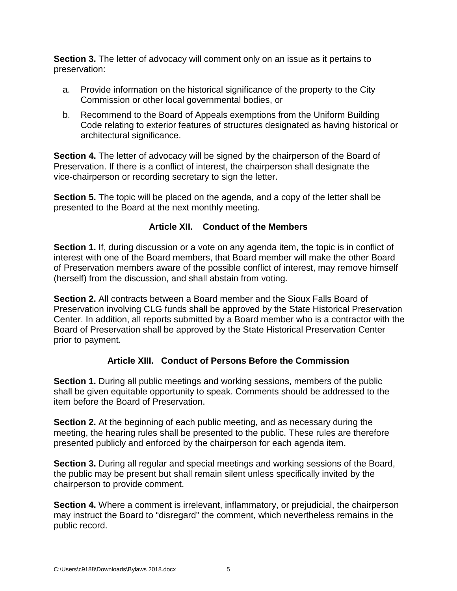**Section 3.** The letter of advocacy will comment only on an issue as it pertains to preservation:

- a. Provide information on the historical significance of the property to the City Commission or other local governmental bodies, or
- b. Recommend to the Board of Appeals exemptions from the Uniform Building Code relating to exterior features of structures designated as having historical or architectural significance.

**Section 4.** The letter of advocacy will be signed by the chairperson of the Board of Preservation. If there is a conflict of interest, the chairperson shall designate the vice-chairperson or recording secretary to sign the letter.

**Section 5.** The topic will be placed on the agenda, and a copy of the letter shall be presented to the Board at the next monthly meeting.

# **Article XII. Conduct of the Members**

<span id="page-5-0"></span>**Section 1.** If, during discussion or a vote on any agenda item, the topic is in conflict of interest with one of the Board members, that Board member will make the other Board of Preservation members aware of the possible conflict of interest, may remove himself (herself) from the discussion, and shall abstain from voting.

**Section 2.** All contracts between a Board member and the Sioux Falls Board of Preservation involving CLG funds shall be approved by the State Historical Preservation Center. In addition, all reports submitted by a Board member who is a contractor with the Board of Preservation shall be approved by the State Historical Preservation Center prior to payment.

# **Article XIII. Conduct of Persons Before the Commission**

<span id="page-5-1"></span>**Section 1.** During all public meetings and working sessions, members of the public shall be given equitable opportunity to speak. Comments should be addressed to the item before the Board of Preservation.

**Section 2.** At the beginning of each public meeting, and as necessary during the meeting, the hearing rules shall be presented to the public. These rules are therefore presented publicly and enforced by the chairperson for each agenda item.

**Section 3.** During all regular and special meetings and working sessions of the Board, the public may be present but shall remain silent unless specifically invited by the chairperson to provide comment.

**Section 4.** Where a comment is irrelevant, inflammatory, or prejudicial, the chairperson may instruct the Board to "disregard" the comment, which nevertheless remains in the public record.